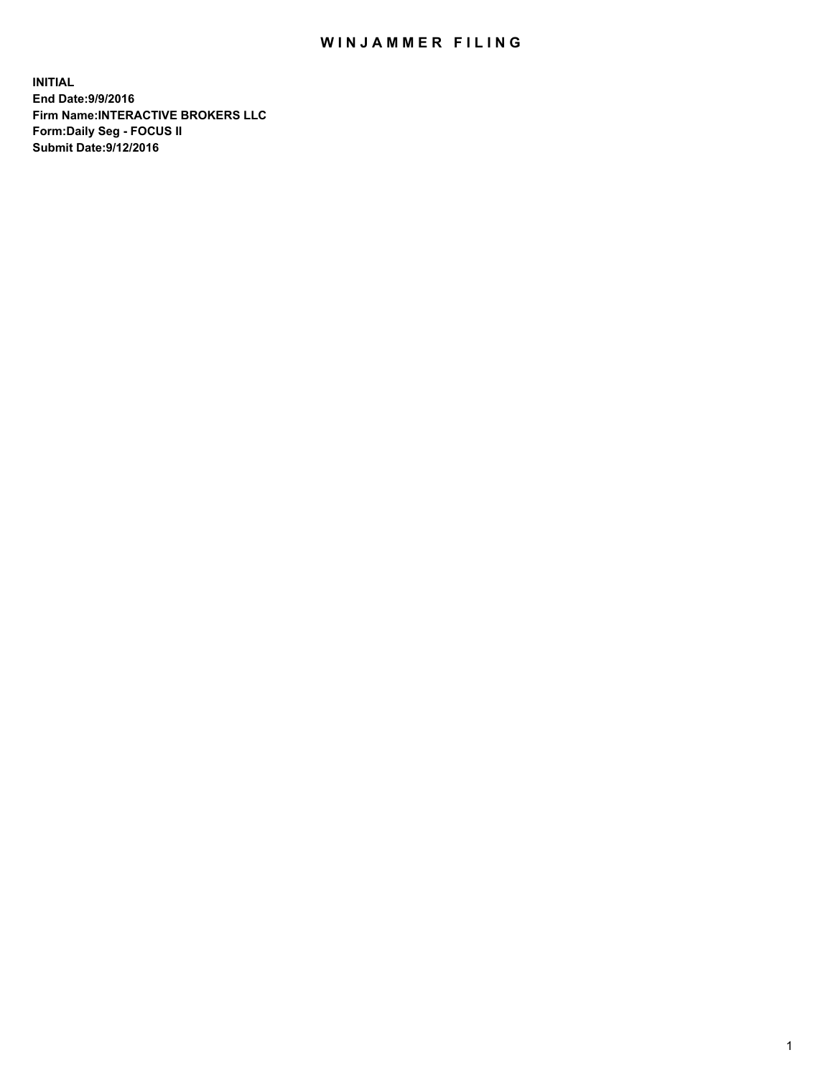## WIN JAMMER FILING

**INITIAL End Date:9/9/2016 Firm Name:INTERACTIVE BROKERS LLC Form:Daily Seg - FOCUS II Submit Date:9/12/2016**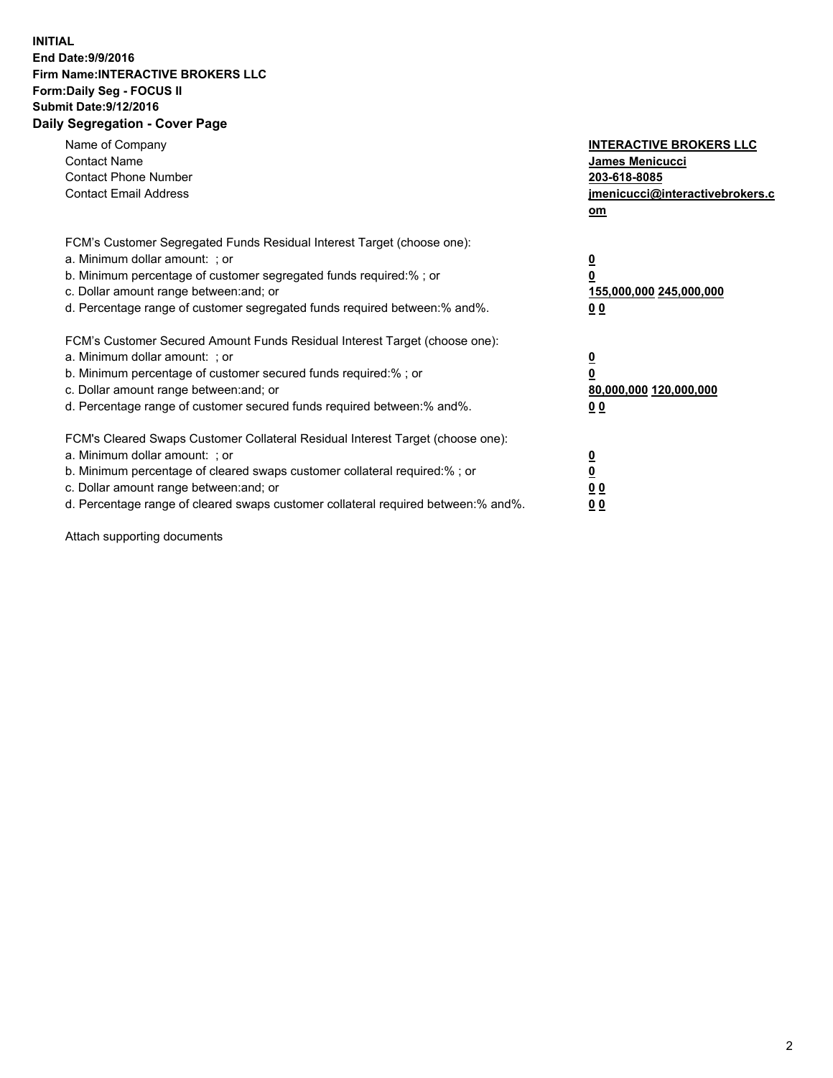## **INITIAL End Date:9/9/2016 Firm Name:INTERACTIVE BROKERS LLC Form:Daily Seg - FOCUS II Submit Date:9/12/2016 Daily Segregation - Cover Page**

| Name of Company<br><b>Contact Name</b><br><b>Contact Phone Number</b><br><b>Contact Email Address</b>                                                                                                                                                                                                                          | <b>INTERACTIVE BROKERS LLC</b><br><b>James Menicucci</b><br>203-618-8085<br>jmenicucci@interactivebrokers.c<br>om |
|--------------------------------------------------------------------------------------------------------------------------------------------------------------------------------------------------------------------------------------------------------------------------------------------------------------------------------|-------------------------------------------------------------------------------------------------------------------|
| FCM's Customer Segregated Funds Residual Interest Target (choose one):<br>a. Minimum dollar amount: ; or<br>b. Minimum percentage of customer segregated funds required:% ; or<br>c. Dollar amount range between: and; or<br>d. Percentage range of customer segregated funds required between: % and %.                       | $\overline{\mathbf{0}}$<br>0<br>155,000,000 245,000,000<br>00                                                     |
| FCM's Customer Secured Amount Funds Residual Interest Target (choose one):<br>a. Minimum dollar amount: ; or<br>b. Minimum percentage of customer secured funds required:%; or<br>c. Dollar amount range between: and; or<br>d. Percentage range of customer secured funds required between: % and %.                          | $\overline{\mathbf{0}}$<br>0<br>80,000,000 120,000,000<br>00                                                      |
| FCM's Cleared Swaps Customer Collateral Residual Interest Target (choose one):<br>a. Minimum dollar amount: ; or<br>b. Minimum percentage of cleared swaps customer collateral required:% ; or<br>c. Dollar amount range between: and; or<br>d. Percentage range of cleared swaps customer collateral required between:% and%. | $\overline{\mathbf{0}}$<br>$\overline{\mathbf{0}}$<br>00<br>0 <sub>0</sub>                                        |

Attach supporting documents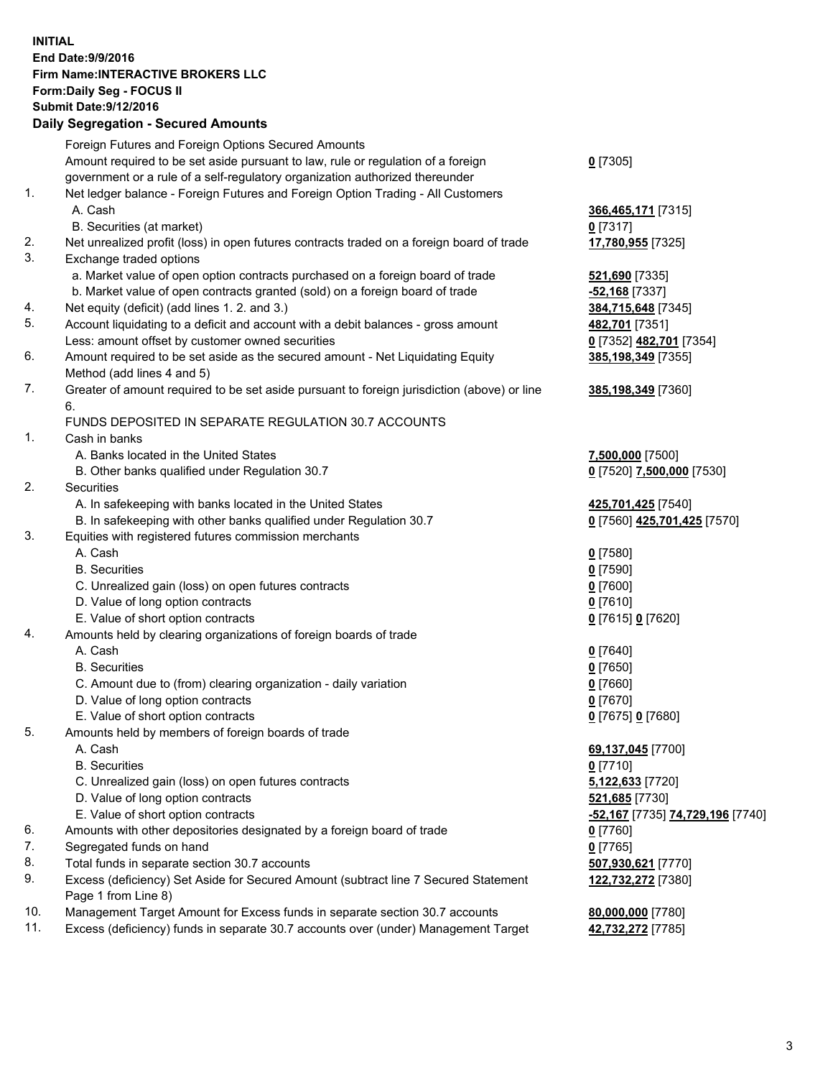## **INITIAL End Date:9/9/2016 Firm Name:INTERACTIVE BROKERS LLC Form:Daily Seg - FOCUS II Submit Date:9/12/2016 Daily Segregation - Secured Amounts**

|     | Foreign Futures and Foreign Options Secured Amounts                                         |                                  |
|-----|---------------------------------------------------------------------------------------------|----------------------------------|
|     | Amount required to be set aside pursuant to law, rule or regulation of a foreign            | $0$ [7305]                       |
|     | government or a rule of a self-regulatory organization authorized thereunder                |                                  |
| 1.  | Net ledger balance - Foreign Futures and Foreign Option Trading - All Customers             |                                  |
|     |                                                                                             |                                  |
|     | A. Cash                                                                                     | 366,465,171 [7315]               |
|     | B. Securities (at market)                                                                   | $0$ [7317]                       |
| 2.  | Net unrealized profit (loss) in open futures contracts traded on a foreign board of trade   | 17,780,955 [7325]                |
| 3.  | Exchange traded options                                                                     |                                  |
|     | a. Market value of open option contracts purchased on a foreign board of trade              | 521,690 [7335]                   |
|     | b. Market value of open contracts granted (sold) on a foreign board of trade                | $-52,168$ [7337]                 |
| 4.  | Net equity (deficit) (add lines 1. 2. and 3.)                                               | 384,715,648 [7345]               |
| 5.  | Account liquidating to a deficit and account with a debit balances - gross amount           | 482,701 [7351]                   |
|     | Less: amount offset by customer owned securities                                            | 0 [7352] 482,701 [7354]          |
| 6.  | Amount required to be set aside as the secured amount - Net Liquidating Equity              | 385,198,349 [7355]               |
|     | Method (add lines 4 and 5)                                                                  |                                  |
|     |                                                                                             |                                  |
| 7.  | Greater of amount required to be set aside pursuant to foreign jurisdiction (above) or line | 385,198,349 [7360]               |
|     | 6.                                                                                          |                                  |
|     | FUNDS DEPOSITED IN SEPARATE REGULATION 30.7 ACCOUNTS                                        |                                  |
| 1.  | Cash in banks                                                                               |                                  |
|     | A. Banks located in the United States                                                       | 7,500,000 [7500]                 |
|     | B. Other banks qualified under Regulation 30.7                                              | 0 [7520] 7,500,000 [7530]        |
| 2.  | Securities                                                                                  |                                  |
|     | A. In safekeeping with banks located in the United States                                   | 425,701,425 [7540]               |
|     | B. In safekeeping with other banks qualified under Regulation 30.7                          | 0 [7560] 425,701,425 [7570]      |
| 3.  | Equities with registered futures commission merchants                                       |                                  |
|     | A. Cash                                                                                     | $0$ [7580]                       |
|     |                                                                                             |                                  |
|     | <b>B.</b> Securities                                                                        | $0$ [7590]                       |
|     | C. Unrealized gain (loss) on open futures contracts                                         | $0$ [7600]                       |
|     | D. Value of long option contracts                                                           | $0$ [7610]                       |
|     | E. Value of short option contracts                                                          | 0 [7615] 0 [7620]                |
| 4.  | Amounts held by clearing organizations of foreign boards of trade                           |                                  |
|     | A. Cash                                                                                     | $0$ [7640]                       |
|     | <b>B.</b> Securities                                                                        | $0$ [7650]                       |
|     | C. Amount due to (from) clearing organization - daily variation                             | $0$ [7660]                       |
|     | D. Value of long option contracts                                                           | $0$ [7670]                       |
|     | E. Value of short option contracts                                                          | 0 [7675] 0 [7680]                |
| 5.  | Amounts held by members of foreign boards of trade                                          |                                  |
|     | A. Cash                                                                                     | 69,137,045 [7700]                |
|     | <b>B.</b> Securities                                                                        | $0$ [7710]                       |
|     |                                                                                             |                                  |
|     | C. Unrealized gain (loss) on open futures contracts                                         | 5,122,633 [7720]                 |
|     | D. Value of long option contracts                                                           | 521,685 [7730]                   |
|     | E. Value of short option contracts                                                          | -52,167 [7735] 74,729,196 [7740] |
| 6.  | Amounts with other depositories designated by a foreign board of trade                      | $0$ [7760]                       |
| 7.  | Segregated funds on hand                                                                    | $0$ [7765]                       |
| 8.  | Total funds in separate section 30.7 accounts                                               | 507,930,621 [7770]               |
| 9.  | Excess (deficiency) Set Aside for Secured Amount (subtract line 7 Secured Statement         | 122,732,272 [7380]               |
|     | Page 1 from Line 8)                                                                         |                                  |
| 10. | Management Target Amount for Excess funds in separate section 30.7 accounts                 | 80,000,000 [7780]                |
| 11. | Excess (deficiency) funds in separate 30.7 accounts over (under) Management Target          | 42,732,272 [7785]                |
|     |                                                                                             |                                  |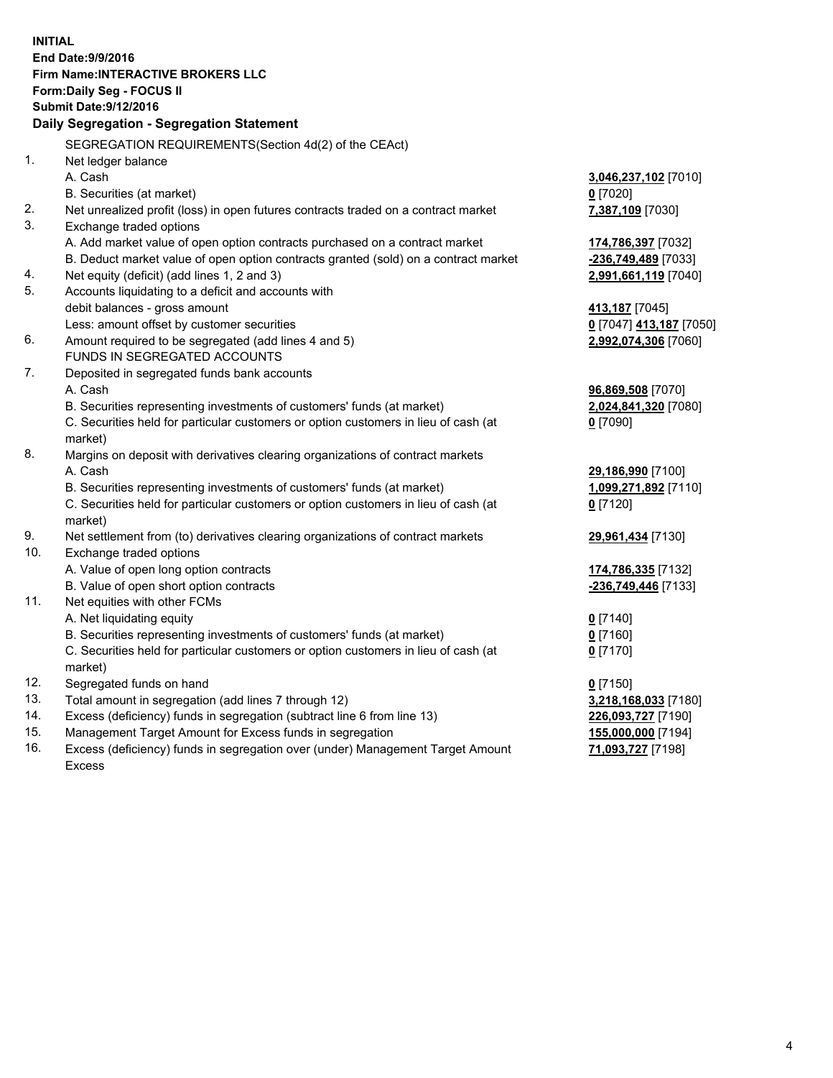**INITIAL End Date:9/9/2016 Firm Name:INTERACTIVE BROKERS LLC Form:Daily Seg - FOCUS II Submit Date:9/12/2016 Daily Segregation - Segregation Statement** SEGREGATION REQUIREMENTS(Section 4d(2) of the CEAct) 1. Net ledger balance A. Cash **3,046,237,102** [7010] B. Securities (at market) **0** [7020] 2. Net unrealized profit (loss) in open futures contracts traded on a contract market **7,387,109** [7030] 3. Exchange traded options A. Add market value of open option contracts purchased on a contract market **174,786,397** [7032] B. Deduct market value of open option contracts granted (sold) on a contract market **-236,749,489** [7033] 4. Net equity (deficit) (add lines 1, 2 and 3) **2,991,661,119** [7040] 5. Accounts liquidating to a deficit and accounts with debit balances - gross amount **413,187** [7045] Less: amount offset by customer securities **0** [7047] **413,187** [7050] 6. Amount required to be segregated (add lines 4 and 5) **2,992,074,306** [7060] FUNDS IN SEGREGATED ACCOUNTS 7. Deposited in segregated funds bank accounts A. Cash **96,869,508** [7070] B. Securities representing investments of customers' funds (at market) **2,024,841,320** [7080] C. Securities held for particular customers or option customers in lieu of cash (at market) **0** [7090] 8. Margins on deposit with derivatives clearing organizations of contract markets A. Cash **29,186,990** [7100] B. Securities representing investments of customers' funds (at market) **1,099,271,892** [7110] C. Securities held for particular customers or option customers in lieu of cash (at market) **0** [7120] 9. Net settlement from (to) derivatives clearing organizations of contract markets **29,961,434** [7130] 10. Exchange traded options A. Value of open long option contracts **174,786,335** [7132] B. Value of open short option contracts **-236,749,446** [7133] 11. Net equities with other FCMs A. Net liquidating equity **0** [7140] B. Securities representing investments of customers' funds (at market) **0** [7160] C. Securities held for particular customers or option customers in lieu of cash (at market) **0** [7170] 12. Segregated funds on hand **0** [7150] 13. Total amount in segregation (add lines 7 through 12) **3,218,168,033** [7180] 14. Excess (deficiency) funds in segregation (subtract line 6 from line 13) **226,093,727** [7190] 15. Management Target Amount for Excess funds in segregation **155,000,000** [7194]

16. Excess (deficiency) funds in segregation over (under) Management Target Amount Excess

**71,093,727** [7198]